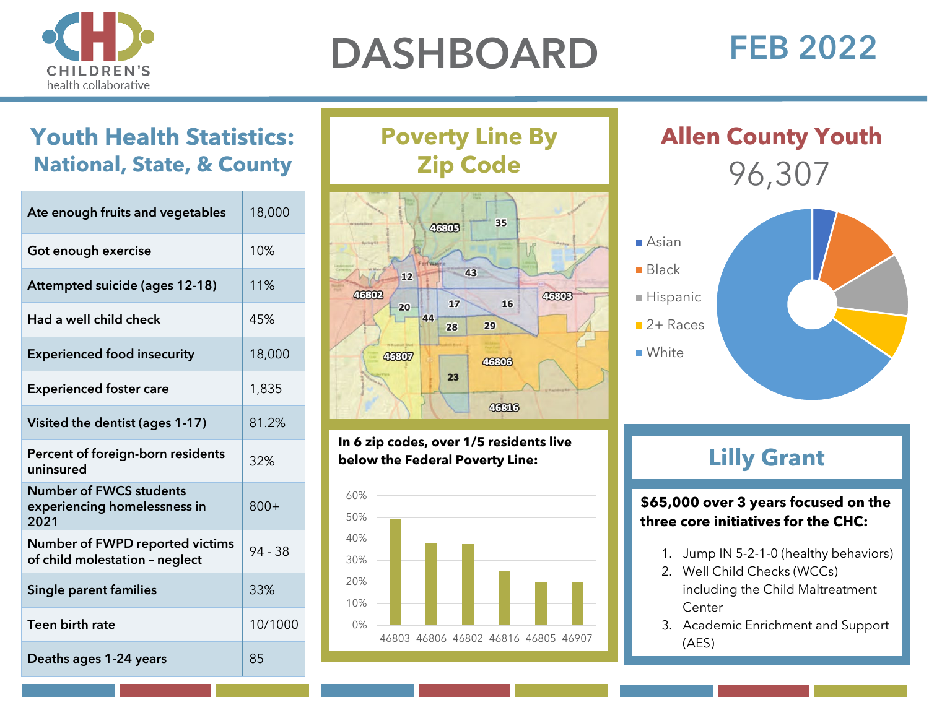

# DASHBOARD FEB 2022

## **Youth Health Statistics: National, State, & County**

| Ate enough fruits and vegetables                                         | 18,000  |
|--------------------------------------------------------------------------|---------|
| Got enough exercise                                                      | 10%     |
| <b>Attempted suicide (ages 12-18)</b>                                    | 11%     |
| Had a well child check                                                   | 45%     |
| <b>Experienced food insecurity</b>                                       | 18,000  |
| <b>Experienced foster care</b>                                           | 1,835   |
| Visited the dentist (ages 1-17)                                          | 81.2%   |
| Percent of foreign-born residents<br>uninsured                           | 32%     |
| <b>Number of FWCS students</b><br>experiencing homelessness in<br>2021   | $800+$  |
| <b>Number of FWPD reported victims</b><br>of child molestation - neglect | 94 - 38 |
| <b>Single parent families</b>                                            | 33%     |
| Teen birth rate                                                          | 10/1000 |
| Deaths ages 1-24 years                                                   | 85      |

**Poverty Line By Zip Code**



**In 6 zip codes, over 1/5 residents live below the Federal Poverty Line:**



96,307 **Allen County Youth**



## **Lilly Grant**

**\$65,000 over 3 years focused on the three core initiatives for the CHC:** 

- 1. Jump IN 5-2-1-0 (healthy behaviors)
- 2. Well Child Checks (WCCs) including the Child Maltreatment **Center**
- 3. Academic Enrichment and Support (AES)